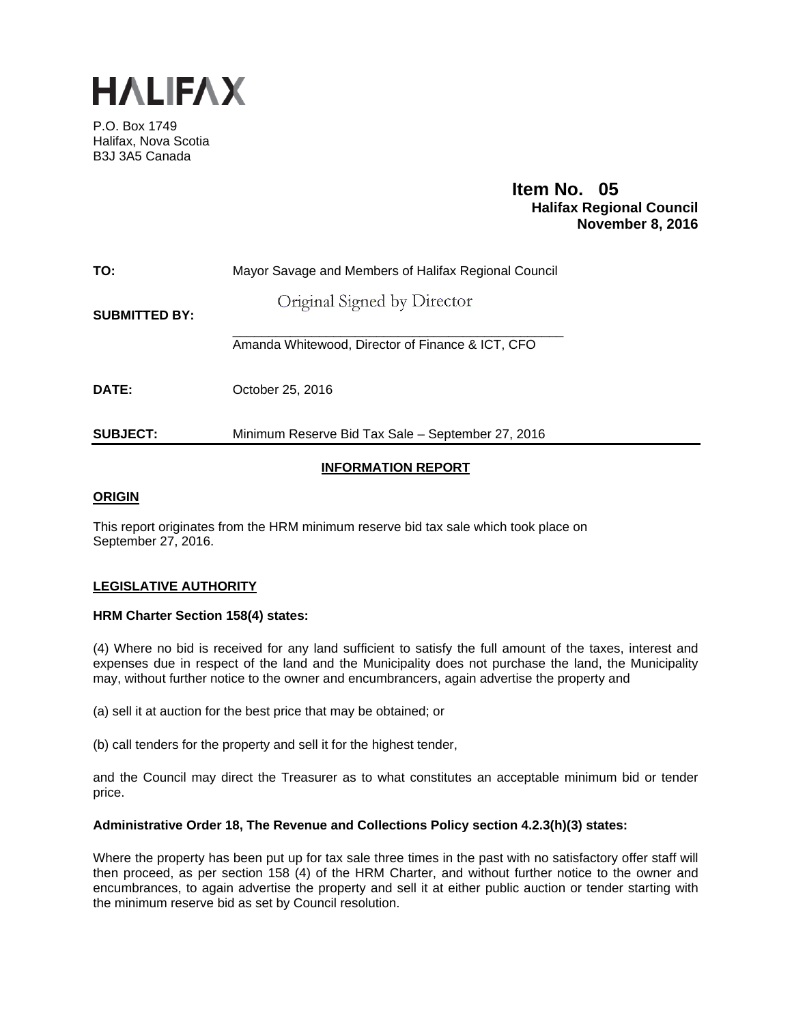

P.O. Box 1749 Halifax, Nova Scotia B3J 3A5 Canada

# **Item No. 05**<br>**Halifax Regional Council November 8, 2016**

| TO:                  | Mayor Savage and Members of Halifax Regional Council |  |  |  |  |  |  |  |  |
|----------------------|------------------------------------------------------|--|--|--|--|--|--|--|--|
| <b>SUBMITTED BY:</b> | Original Signed by Director                          |  |  |  |  |  |  |  |  |
|                      | Amanda Whitewood, Director of Finance & ICT, CFO     |  |  |  |  |  |  |  |  |
| DATE:                | October 25, 2016                                     |  |  |  |  |  |  |  |  |
| <b>SUBJECT:</b>      | Minimum Reserve Bid Tax Sale - September 27, 2016    |  |  |  |  |  |  |  |  |

## **INFORMATION REPORT**

## **ORIGIN**

This report originates from the HRM minimum reserve bid tax sale which took place on September 27, 2016.

## **LEGISLATIVE AUTHORITY**

#### **HRM Charter Section 158(4) states:**

(4) Where no bid is received for any land sufficient to satisfy the full amount of the taxes, interest and expenses due in respect of the land and the Municipality does not purchase the land, the Municipality may, without further notice to the owner and encumbrancers, again advertise the property and

(a) sell it at auction for the best price that may be obtained; or

(b) call tenders for the property and sell it for the highest tender,

and the Council may direct the Treasurer as to what constitutes an acceptable minimum bid or tender price.

#### **Administrative Order 18, The Revenue and Collections Policy section 4.2.3(h)(3) states:**

Where the property has been put up for tax sale three times in the past with no satisfactory offer staff will then proceed, as per section 158 (4) of the HRM Charter, and without further notice to the owner and encumbrances, to again advertise the property and sell it at either public auction or tender starting with the minimum reserve bid as set by Council resolution.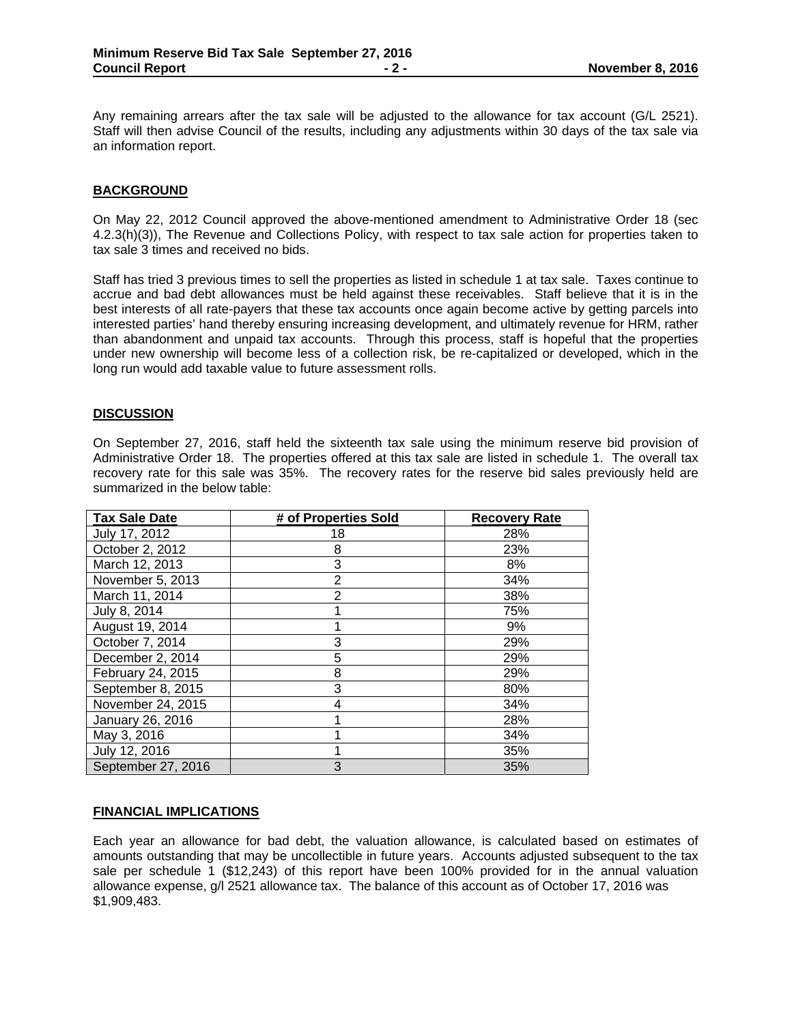Any remaining arrears after the tax sale will be adjusted to the allowance for tax account (G/L 2521). Staff will then advise Council of the results, including any adjustments within 30 days of the tax sale via an information report.

#### **BACKGROUND**

On May 22, 2012 Council approved the above-mentioned amendment to Administrative Order 18 (sec 4.2.3(h)(3)), The Revenue and Collections Policy, with respect to tax sale action for properties taken to tax sale 3 times and received no bids.

Staff has tried 3 previous times to sell the properties as listed in schedule 1 at tax sale. Taxes continue to accrue and bad debt allowances must be held against these receivables. Staff believe that it is in the best interests of all rate-payers that these tax accounts once again become active by getting parcels into interested parties' hand thereby ensuring increasing development, and ultimately revenue for HRM, rather than abandonment and unpaid tax accounts. Through this process, staff is hopeful that the properties under new ownership will become less of a collection risk, be re-capitalized or developed, which in the long run would add taxable value to future assessment rolls.

#### **DISCUSSION**

On September 27, 2016, staff held the sixteenth tax sale using the minimum reserve bid provision of Administrative Order 18. The properties offered at this tax sale are listed in schedule 1. The overall tax recovery rate for this sale was 35%. The recovery rates for the reserve bid sales previously held are summarized in the below table:

| <b>Tax Sale Date</b> | # of Properties Sold | <b>Recovery Rate</b> |
|----------------------|----------------------|----------------------|
| July 17, 2012        | 18                   | 28%                  |
| October 2, 2012      | 8                    | 23%                  |
| March 12, 2013       | 3                    | 8%                   |
| November 5, 2013     | $\overline{2}$       | 34%                  |
| March 11, 2014       | 2                    | 38%                  |
| July 8, 2014         |                      | 75%                  |
| August 19, 2014      |                      | 9%                   |
| October 7, 2014      | 3                    | 29%                  |
| December 2, 2014     | 5                    | 29%                  |
| February 24, 2015    | 8                    | 29%                  |
| September 8, 2015    | 3                    | 80%                  |
| November 24, 2015    | 4                    | 34%                  |
| January 26, 2016     |                      | 28%                  |
| May 3, 2016          |                      | 34%                  |
| July 12, 2016        |                      | 35%                  |
| September 27, 2016   | 3                    | 35%                  |

#### **FINANCIAL IMPLICATIONS**

Each year an allowance for bad debt, the valuation allowance, is calculated based on estimates of amounts outstanding that may be uncollectible in future years. Accounts adjusted subsequent to the tax sale per schedule 1 (\$12,243) of this report have been 100% provided for in the annual valuation allowance expense, g/l 2521 allowance tax. The balance of this account as of October 17, 2016 was \$1,909,483.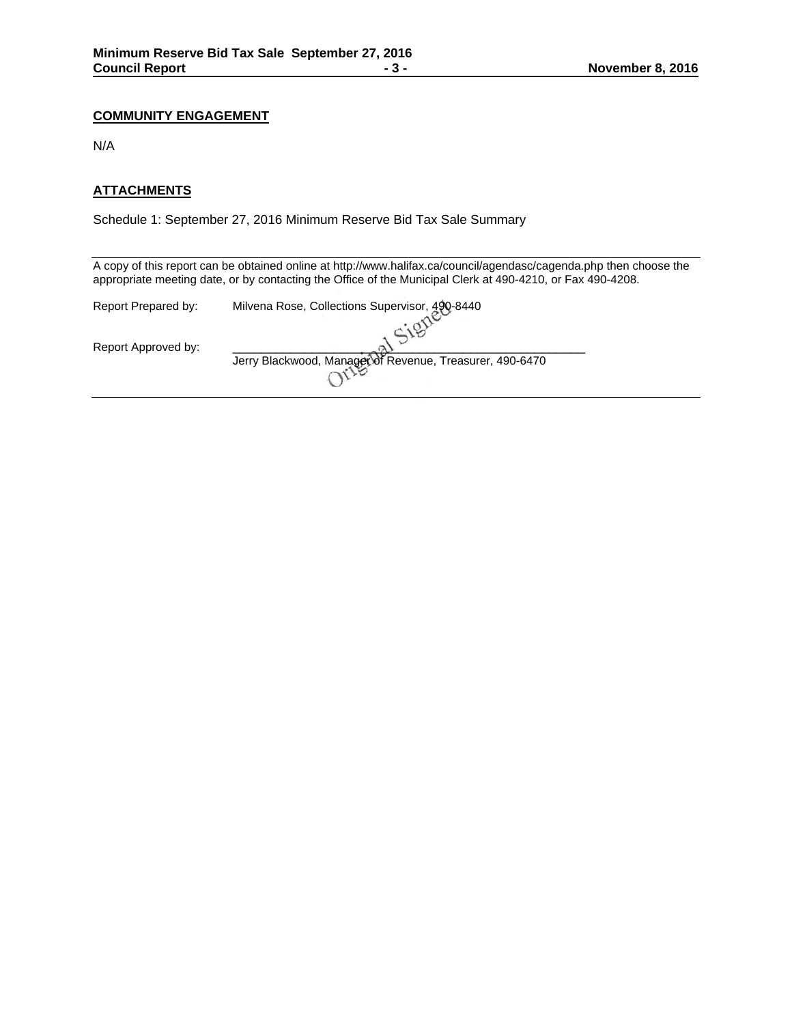## **COMMUNITY ENGAGEMENT**

N/A

### **ATTACHMENTS**

Schedule 1: September 27, 2016 Minimum Reserve Bid Tax Sale Summary

A copy of this report can be obtained online at http://www.halifax.ca/council/agendasc/cagenda.php then choose the appropriate meeting date, or by contacting the Office of the Municipal Clerk at 490-4210, or Fax 490-4208.

| Report Prepared by: | Milvena Rose, Collections Supervisor, 490-8440           |
|---------------------|----------------------------------------------------------|
|                     |                                                          |
| Report Approved by: |                                                          |
|                     | Jerry Blackwood, Manager of Revenue, Treasurer, 490-6470 |
|                     |                                                          |